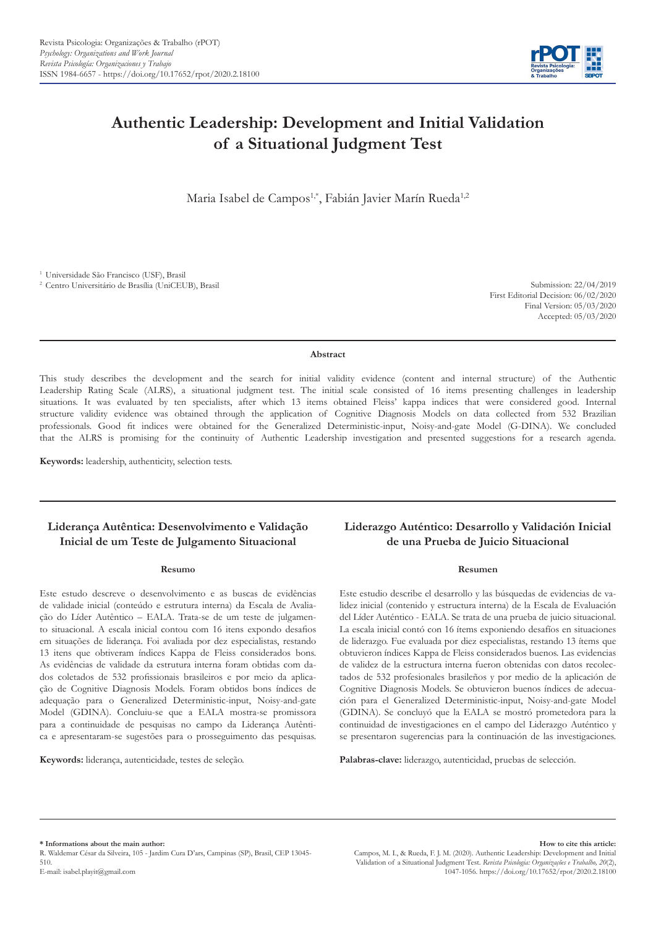

# **Authentic Leadership: Development and Initial Validation of a Situational Judgment Test**

Maria Isabel de Campos<sup>1,\*</sup>, Fabián Javier Marín Rueda<sup>1,2</sup>

1 Universidade São Francisco (USF), Brasil

2 Centro Universitário de Brasília (UniCEUB), Brasil Submission: 22/04/2019 First Editorial Decision: 06/02/2020 Final Version: 05/03/2020 Accepted: 05/03/2020

**Abstract**

This study describes the development and the search for initial validity evidence (content and internal structure) of the Authentic Leadership Rating Scale (ALRS), a situational judgment test. The initial scale consisted of 16 items presenting challenges in leadership situations. It was evaluated by ten specialists, after which 13 items obtained Fleiss' kappa indices that were considered good. Internal structure validity evidence was obtained through the application of Cognitive Diagnosis Models on data collected from 532 Brazilian professionals. Good fit indices were obtained for the Generalized Deterministic-input, Noisy-and-gate Model (G-DINA). We concluded that the ALRS is promising for the continuity of Authentic Leadership investigation and presented suggestions for a research agenda.

**Keywords:** leadership, authenticity, selection tests.

# **Liderança Autêntica: Desenvolvimento e Validação Inicial de um Teste de Julgamento Situacional**

# **Resumo**

Este estudo descreve o desenvolvimento e as buscas de evidências de validade inicial (conteúdo e estrutura interna) da Escala de Avaliação do Líder Autêntico – EALA. Trata-se de um teste de julgamento situacional. A escala inicial contou com 16 itens expondo desafios em situações de liderança. Foi avaliada por dez especialistas, restando 13 itens que obtiveram índices Kappa de Fleiss considerados bons. As evidências de validade da estrutura interna foram obtidas com dados coletados de 532 profissionais brasileiros e por meio da aplicação de Cognitive Diagnosis Models. Foram obtidos bons índices de adequação para o Generalized Deterministic-input, Noisy-and-gate Model (GDINA). Concluiu-se que a EALA mostra-se promissora para a continuidade de pesquisas no campo da Liderança Autêntica e apresentaram-se sugestões para o prosseguimento das pesquisas.

**Keywords:** liderança, autenticidade, testes de seleção.

# **Liderazgo Auténtico: Desarrollo y Validación Inicial de una Prueba de Juicio Situacional**

#### **Resumen**

Este estudio describe el desarrollo y las búsquedas de evidencias de validez inicial (contenido y estructura interna) de la Escala de Evaluación del Líder Auténtico - EALA. Se trata de una prueba de juicio situacional. La escala inicial contó con 16 ítems exponiendo desafíos en situaciones de liderazgo. Fue evaluada por diez especialistas, restando 13 ítems que obtuvieron índices Kappa de Fleiss considerados buenos. Las evidencias de validez de la estructura interna fueron obtenidas con datos recolectados de 532 profesionales brasileños y por medio de la aplicación de Cognitive Diagnosis Models. Se obtuvieron buenos índices de adecuación para el Generalized Deterministic-input, Noisy-and-gate Model (GDINA). Se concluyó que la EALA se mostró prometedora para la continuidad de investigaciones en el campo del Liderazgo Auténtico y se presentaron sugerencias para la continuación de las investigaciones.

**Palabras-clave:** liderazgo, autenticidad, pruebas de selección.

**\* Informations about the main author:** 

R. Waldemar César da Silveira, 105 - Jardim Cura D'ars, Campinas (SP), Brasil, CEP 13045- 510.

E-mail: isabel.playit@gmail.com

**How to cite this article:**  Campos, M. I., & Rueda, F. J. M. (2020). Authentic Leadership: Development and Initial Validation of a Situational Judgment Test. *Revista Psicologia: Organizações e Trabalho, 20*(2), 1047-1056. https://doi.org/10.17652/rpot/2020.2.18100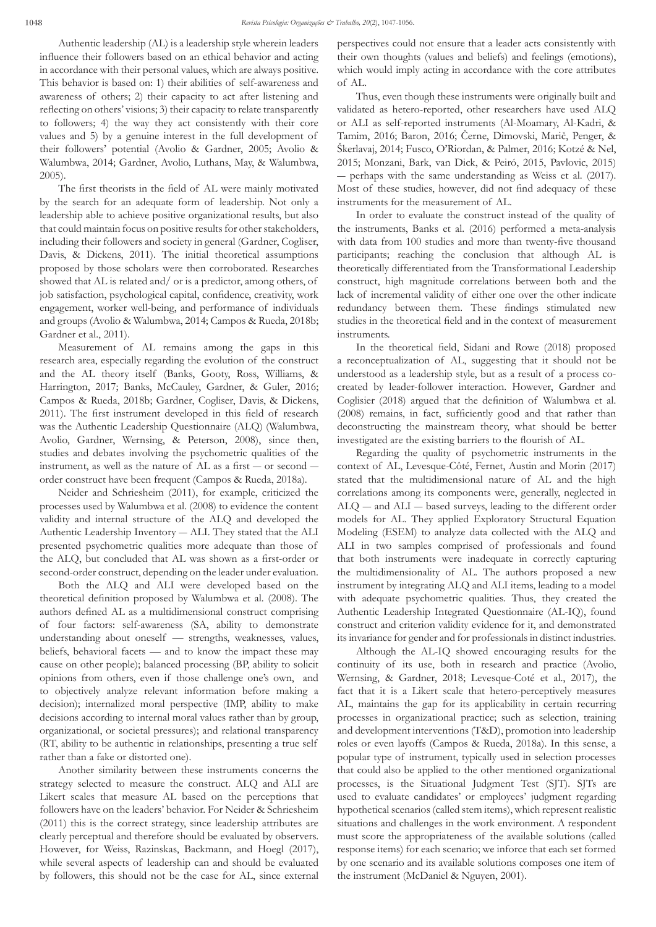Authentic leadership (AL) is a leadership style wherein leaders influence their followers based on an ethical behavior and acting in accordance with their personal values, which are always positive. This behavior is based on: 1) their abilities of self-awareness and awareness of others; 2) their capacity to act after listening and reflecting on others' visions; 3) their capacity to relate transparently to followers; 4) the way they act consistently with their core values and 5) by a genuine interest in the full development of their followers' potential (Avolio & Gardner, 2005; Avolio & Walumbwa, 2014; Gardner, Avolio, Luthans, May, & Walumbwa, 2005).

The first theorists in the field of AL were mainly motivated by the search for an adequate form of leadership. Not only a leadership able to achieve positive organizational results, but also that could maintain focus on positive results for other stakeholders, including their followers and society in general (Gardner, Cogliser, Davis, & Dickens, 2011). The initial theoretical assumptions proposed by those scholars were then corroborated. Researches showed that AL is related and/ or is a predictor, among others, of job satisfaction, psychological capital, confidence, creativity, work engagement, worker well-being, and performance of individuals and groups (Avolio & Walumbwa, 2014; Campos & Rueda, 2018b; Gardner et al., 2011).

Measurement of AL remains among the gaps in this research area, especially regarding the evolution of the construct and the AL theory itself (Banks, Gooty, Ross, Williams, & Harrington, 2017; Banks, McCauley, Gardner, & Guler, 2016; Campos & Rueda, 2018b; Gardner, Cogliser, Davis, & Dickens, 2011). The first instrument developed in this field of research was the Authentic Leadership Questionnaire (ALQ) (Walumbwa, Avolio, Gardner, Wernsing, & Peterson, 2008), since then, studies and debates involving the psychometric qualities of the instrument, as well as the nature of AL as a first ― or second ― order construct have been frequent (Campos & Rueda, 2018a).

Neider and Schriesheim (2011), for example, criticized the processes used by Walumbwa et al. (2008) to evidence the content validity and internal structure of the ALQ and developed the Authentic Leadership Inventory ― ALI. They stated that the ALI presented psychometric qualities more adequate than those of the ALQ, but concluded that AL was shown as a first-order or second-order construct, depending on the leader under evaluation.

Both the ALQ and ALI were developed based on the theoretical definition proposed by Walumbwa et al. (2008). The authors defined AL as a multidimensional construct comprising of four factors: self-awareness (SA, ability to demonstrate understanding about oneself — strengths, weaknesses, values, beliefs, behavioral facets — and to know the impact these may cause on other people); balanced processing (BP, ability to solicit opinions from others, even if those challenge one's own, and to objectively analyze relevant information before making a decision); internalized moral perspective (IMP, ability to make decisions according to internal moral values rather than by group, organizational, or societal pressures); and relational transparency (RT, ability to be authentic in relationships, presenting a true self rather than a fake or distorted one).

Another similarity between these instruments concerns the strategy selected to measure the construct. ALQ and ALI are Likert scales that measure AL based on the perceptions that followers have on the leaders' behavior. For Neider & Schriesheim (2011) this is the correct strategy, since leadership attributes are clearly perceptual and therefore should be evaluated by observers. However, for Weiss, Razinskas, Backmann, and Hoegl (2017), while several aspects of leadership can and should be evaluated by followers, this should not be the case for AL, since external perspectives could not ensure that a leader acts consistently with their own thoughts (values and beliefs) and feelings (emotions), which would imply acting in accordance with the core attributes of AL.

Thus, even though these instruments were originally built and validated as hetero-reported, other researchers have used ALQ or ALI as self-reported instruments (Al-Moamary, Al-Kadri, & Tamim, 2016; Baron, 2016; Černe, Dimovski, Marič, Penger, & Škerlavaj, 2014; Fusco, O'Riordan, & Palmer, 2016; Kotzé & Nel, 2015; Monzani, Bark, van Dick, & Peiró, 2015, Pavlovic, 2015) ― perhaps with the same understanding as Weiss et al. (2017). Most of these studies, however, did not find adequacy of these instruments for the measurement of AL.

In order to evaluate the construct instead of the quality of the instruments, Banks et al. (2016) performed a meta-analysis with data from 100 studies and more than twenty-five thousand participants; reaching the conclusion that although AL is theoretically differentiated from the Transformational Leadership construct, high magnitude correlations between both and the lack of incremental validity of either one over the other indicate redundancy between them. These findings stimulated new studies in the theoretical field and in the context of measurement instruments.

In the theoretical field, Sidani and Rowe (2018) proposed a reconceptualization of AL, suggesting that it should not be understood as a leadership style, but as a result of a process cocreated by leader-follower interaction. However, Gardner and Coglisier (2018) argued that the definition of Walumbwa et al. (2008) remains, in fact, sufficiently good and that rather than deconstructing the mainstream theory, what should be better investigated are the existing barriers to the flourish of AL.

Regarding the quality of psychometric instruments in the context of AL, Levesque-Côté, Fernet, Austin and Morin (2017) stated that the multidimensional nature of AL and the high correlations among its components were, generally, neglected in ALQ ― and ALI ― based surveys, leading to the different order models for AL. They applied Exploratory Structural Equation Modeling (ESEM) to analyze data collected with the ALQ and ALI in two samples comprised of professionals and found that both instruments were inadequate in correctly capturing the multidimensionality of AL. The authors proposed a new instrument by integrating ALQ and ALI items, leading to a model with adequate psychometric qualities. Thus, they created the Authentic Leadership Integrated Questionnaire (AL-IQ), found construct and criterion validity evidence for it, and demonstrated its invariance for gender and for professionals in distinct industries.

Although the AL-IQ showed encouraging results for the continuity of its use, both in research and practice (Avolio, Wernsing, & Gardner, 2018; Levesque-Coté et al., 2017), the fact that it is a Likert scale that hetero-perceptively measures AL, maintains the gap for its applicability in certain recurring processes in organizational practice; such as selection, training and development interventions (T&D), promotion into leadership roles or even layoffs (Campos & Rueda, 2018a). In this sense, a popular type of instrument, typically used in selection processes that could also be applied to the other mentioned organizational processes, is the Situational Judgment Test (SJT). SJTs are used to evaluate candidates' or employees' judgment regarding hypothetical scenarios (called stem items), which represent realistic situations and challenges in the work environment. A respondent must score the appropriateness of the available solutions (called response items) for each scenario; we inforce that each set formed by one scenario and its available solutions composes one item of the instrument (McDaniel & Nguyen, 2001).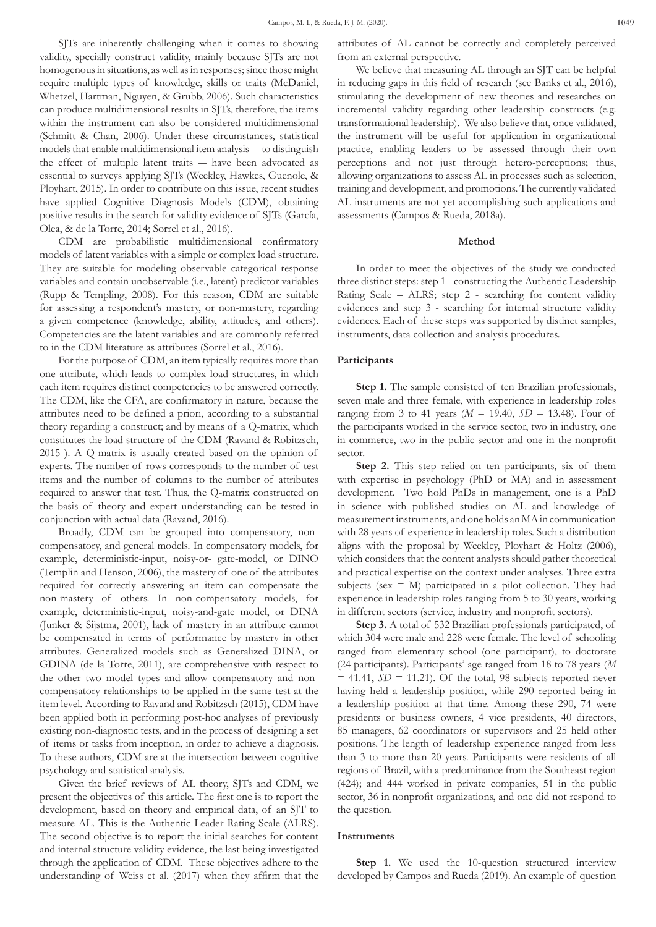SJTs are inherently challenging when it comes to showing validity, specially construct validity, mainly because SJTs are not homogenous in situations, as well as in responses; since those might require multiple types of knowledge, skills or traits (McDaniel, Whetzel, Hartman, Nguyen, & Grubb, 2006). Such characteristics can produce multidimensional results in SJTs, therefore, the items within the instrument can also be considered multidimensional (Schmitt & Chan, 2006). Under these circumstances, statistical models that enable multidimensional item analysis ― to distinguish the effect of multiple latent traits ― have been advocated as essential to surveys applying SJTs (Weekley, Hawkes, Guenole, & Ployhart, 2015). In order to contribute on this issue, recent studies have applied Cognitive Diagnosis Models (CDM), obtaining positive results in the search for validity evidence of SJTs (García, Olea, & de la Torre, 2014; Sorrel et al., 2016).

CDM are probabilistic multidimensional confirmatory models of latent variables with a simple or complex load structure. They are suitable for modeling observable categorical response variables and contain unobservable (i.e., latent) predictor variables (Rupp & Templing, 2008). For this reason, CDM are suitable for assessing a respondent's mastery, or non-mastery, regarding a given competence (knowledge, ability, attitudes, and others). Competencies are the latent variables and are commonly referred to in the CDM literature as attributes (Sorrel et al., 2016).

For the purpose of CDM, an item typically requires more than one attribute, which leads to complex load structures, in which each item requires distinct competencies to be answered correctly. The CDM, like the CFA, are confirmatory in nature, because the attributes need to be defined a priori, according to a substantial theory regarding a construct; and by means of a Q-matrix, which constitutes the load structure of the CDM (Ravand & Robitzsch, 2015 ). A Q-matrix is usually created based on the opinion of experts. The number of rows corresponds to the number of test items and the number of columns to the number of attributes required to answer that test. Thus, the Q-matrix constructed on the basis of theory and expert understanding can be tested in conjunction with actual data (Ravand, 2016).

Broadly, CDM can be grouped into compensatory, noncompensatory, and general models. In compensatory models, for example, deterministic-input, noisy-or- gate-model, or DINO (Templin and Henson, 2006), the mastery of one of the attributes required for correctly answering an item can compensate the non-mastery of others. In non-compensatory models, for example, deterministic-input, noisy-and-gate model, or DINA (Junker & Sijstma, 2001), lack of mastery in an attribute cannot be compensated in terms of performance by mastery in other attributes. Generalized models such as Generalized DINA, or GDINA (de la Torre, 2011), are comprehensive with respect to the other two model types and allow compensatory and noncompensatory relationships to be applied in the same test at the item level. According to Ravand and Robitzsch (2015), CDM have been applied both in performing post-hoc analyses of previously existing non-diagnostic tests, and in the process of designing a set of items or tasks from inception, in order to achieve a diagnosis. To these authors, CDM are at the intersection between cognitive psychology and statistical analysis.

Given the brief reviews of AL theory, SJTs and CDM, we present the objectives of this article. The first one is to report the development, based on theory and empirical data, of an SJT to measure AL. This is the Authentic Leader Rating Scale (ALRS). The second objective is to report the initial searches for content and internal structure validity evidence, the last being investigated through the application of CDM. These objectives adhere to the understanding of Weiss et al. (2017) when they affirm that the attributes of AL cannot be correctly and completely perceived from an external perspective.

We believe that measuring AL through an SJT can be helpful in reducing gaps in this field of research (see Banks et al., 2016), stimulating the development of new theories and researches on incremental validity regarding other leadership constructs (e.g. transformational leadership). We also believe that, once validated, the instrument will be useful for application in organizational practice, enabling leaders to be assessed through their own perceptions and not just through hetero-perceptions; thus, allowing organizations to assess AL in processes such as selection, training and development, and promotions. The currently validated AL instruments are not yet accomplishing such applications and assessments (Campos & Rueda, 2018a).

# **Method**

In order to meet the objectives of the study we conducted three distinct steps: step 1 - constructing the Authentic Leadership Rating Scale – ALRS; step 2 - searching for content validity evidences and step 3 - searching for internal structure validity evidences. Each of these steps was supported by distinct samples, instruments, data collection and analysis procedures.

# **Participants**

Step 1. The sample consisted of ten Brazilian professionals, seven male and three female, with experience in leadership roles ranging from 3 to 41 years ( $M = 19.40$ ,  $SD = 13.48$ ). Four of the participants worked in the service sector, two in industry, one in commerce, two in the public sector and one in the nonprofit sector.

**Step 2.** This step relied on ten participants, six of them with expertise in psychology (PhD or MA) and in assessment development. Two hold PhDs in management, one is a PhD in science with published studies on AL and knowledge of measurement instruments, and one holds an MA in communication with 28 years of experience in leadership roles. Such a distribution aligns with the proposal by Weekley, Ployhart & Holtz (2006), which considers that the content analysts should gather theoretical and practical expertise on the context under analyses. Three extra subjects (sex  $= M$ ) participated in a pilot collection. They had experience in leadership roles ranging from 5 to 30 years, working in different sectors (service, industry and nonprofit sectors).

**Step 3.** A total of 532 Brazilian professionals participated, of which 304 were male and 228 were female. The level of schooling ranged from elementary school (one participant), to doctorate (24 participants). Participants' age ranged from 18 to 78 years (*M*  $= 41.41, SD = 11.21$ . Of the total, 98 subjects reported never having held a leadership position, while 290 reported being in a leadership position at that time. Among these 290, 74 were presidents or business owners, 4 vice presidents, 40 directors, 85 managers, 62 coordinators or supervisors and 25 held other positions. The length of leadership experience ranged from less than 3 to more than 20 years. Participants were residents of all regions of Brazil, with a predominance from the Southeast region (424); and 444 worked in private companies, 51 in the public sector, 36 in nonprofit organizations, and one did not respond to the question.

#### **Instruments**

**Step 1.** We used the 10-question structured interview developed by Campos and Rueda (2019). An example of question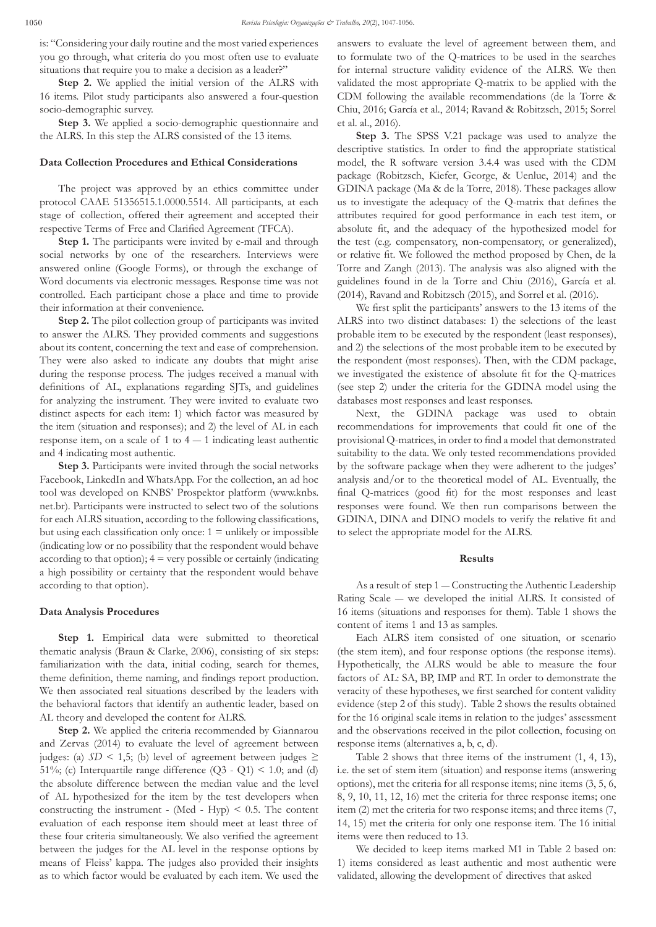is: "Considering your daily routine and the most varied experiences you go through, what criteria do you most often use to evaluate situations that require you to make a decision as a leader?"

**Step 2.** We applied the initial version of the ALRS with 16 items. Pilot study participants also answered a four-question socio-demographic survey.

**Step 3.** We applied a socio-demographic questionnaire and the ALRS. In this step the ALRS consisted of the 13 items.

# **Data Collection Procedures and Ethical Considerations**

The project was approved by an ethics committee under protocol CAAE 51356515.1.0000.5514. All participants, at each stage of collection, offered their agreement and accepted their respective Terms of Free and Clarified Agreement (TFCA).

**Step 1.** The participants were invited by e-mail and through social networks by one of the researchers. Interviews were answered online (Google Forms), or through the exchange of Word documents via electronic messages. Response time was not controlled. Each participant chose a place and time to provide their information at their convenience.

**Step 2.** The pilot collection group of participants was invited to answer the ALRS. They provided comments and suggestions about its content, concerning the text and ease of comprehension. They were also asked to indicate any doubts that might arise during the response process. The judges received a manual with definitions of AL, explanations regarding SJTs, and guidelines for analyzing the instrument. They were invited to evaluate two distinct aspects for each item: 1) which factor was measured by the item (situation and responses); and 2) the level of AL in each response item, on a scale of  $1$  to  $4 - 1$  indicating least authentic and 4 indicating most authentic.

**Step 3.** Participants were invited through the social networks Facebook, LinkedIn and WhatsApp. For the collection, an ad hoc tool was developed on KNBS' Prospektor platform (www.knbs. net.br). Participants were instructed to select two of the solutions for each ALRS situation, according to the following classifications, but using each classification only once:  $1 =$  unlikely or impossible (indicating low or no possibility that the respondent would behave according to that option);  $4 = \text{very possible or certainly (indicating)}$ a high possibility or certainty that the respondent would behave according to that option).

# **Data Analysis Procedures**

**Step 1.** Empirical data were submitted to theoretical thematic analysis (Braun & Clarke, 2006), consisting of six steps: familiarization with the data, initial coding, search for themes, theme definition, theme naming, and findings report production. We then associated real situations described by the leaders with the behavioral factors that identify an authentic leader, based on AL theory and developed the content for ALRS.

**Step 2.** We applied the criteria recommended by Giannarou and Zervas (2014) to evaluate the level of agreement between judges: (a) *SD* < 1,5; (b) level of agreement between judges ≥ 51%; (c) Interquartile range difference  $(Q3 - Q1) < 1.0$ ; and (d) the absolute difference between the median value and the level of AL hypothesized for the item by the test developers when constructing the instrument - (Med - Hyp)  $< 0.5$ . The content evaluation of each response item should meet at least three of these four criteria simultaneously. We also verified the agreement between the judges for the AL level in the response options by means of Fleiss' kappa. The judges also provided their insights as to which factor would be evaluated by each item. We used the answers to evaluate the level of agreement between them, and to formulate two of the Q-matrices to be used in the searches for internal structure validity evidence of the ALRS. We then validated the most appropriate Q-matrix to be applied with the CDM following the available recommendations (de la Torre & Chiu, 2016; García et al., 2014; Ravand & Robitzsch, 2015; Sorrel et al. al., 2016).

**Step 3.** The SPSS V.21 package was used to analyze the descriptive statistics. In order to find the appropriate statistical model, the R software version 3.4.4 was used with the CDM package (Robitzsch, Kiefer, George, & Uenlue, 2014) and the GDINA package (Ma & de la Torre, 2018). These packages allow us to investigate the adequacy of the Q-matrix that defines the attributes required for good performance in each test item, or absolute fit, and the adequacy of the hypothesized model for the test (e.g. compensatory, non-compensatory, or generalized), or relative fit. We followed the method proposed by Chen, de la Torre and Zangh (2013). The analysis was also aligned with the guidelines found in de la Torre and Chiu (2016), García et al. (2014), Ravand and Robitzsch (2015), and Sorrel et al. (2016).

We first split the participants' answers to the 13 items of the ALRS into two distinct databases: 1) the selections of the least probable item to be executed by the respondent (least responses), and 2) the selections of the most probable item to be executed by the respondent (most responses). Then, with the CDM package, we investigated the existence of absolute fit for the Q-matrices (see step 2) under the criteria for the GDINA model using the databases most responses and least responses.

Next, the GDINA package was used to obtain recommendations for improvements that could fit one of the provisional Q-matrices, in order to find a model that demonstrated suitability to the data. We only tested recommendations provided by the software package when they were adherent to the judges' analysis and/or to the theoretical model of AL. Eventually, the final Q-matrices (good fit) for the most responses and least responses were found. We then run comparisons between the GDINA, DINA and DINO models to verify the relative fit and to select the appropriate model for the ALRS.

# **Results**

As a result of step 1 — Constructing the Authentic Leadership Rating Scale ― we developed the initial ALRS. It consisted of 16 items (situations and responses for them). Table 1 shows the content of items 1 and 13 as samples.

Each ALRS item consisted of one situation, or scenario (the stem item), and four response options (the response items). Hypothetically, the ALRS would be able to measure the four factors of AL: SA, BP, IMP and RT. In order to demonstrate the veracity of these hypotheses, we first searched for content validity evidence (step 2 of this study). Table 2 shows the results obtained for the 16 original scale items in relation to the judges' assessment and the observations received in the pilot collection, focusing on response items (alternatives a, b, c, d).

Table 2 shows that three items of the instrument (1, 4, 13), i.e. the set of stem item (situation) and response items (answering options), met the criteria for all response items; nine items (3, 5, 6, 8, 9, 10, 11, 12, 16) met the criteria for three response items; one item (2) met the criteria for two response items; and three items (7, 14, 15) met the criteria for only one response item. The 16 initial items were then reduced to 13.

We decided to keep items marked M1 in Table 2 based on: 1) items considered as least authentic and most authentic were validated, allowing the development of directives that asked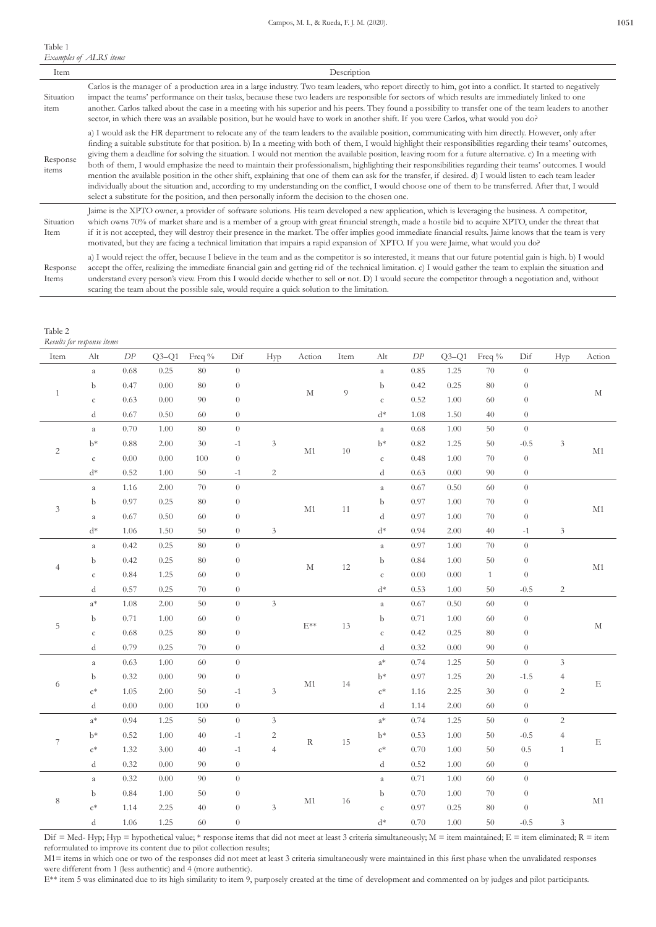### Table 1 *Examples of ALRS items*

| Item              | Description                                                                                                                                                                                                                                                                                                                                                                                                                                                                                                                                                                                                                                                                                                                                                                                                                                                                                                                                                                                                                                                                |
|-------------------|----------------------------------------------------------------------------------------------------------------------------------------------------------------------------------------------------------------------------------------------------------------------------------------------------------------------------------------------------------------------------------------------------------------------------------------------------------------------------------------------------------------------------------------------------------------------------------------------------------------------------------------------------------------------------------------------------------------------------------------------------------------------------------------------------------------------------------------------------------------------------------------------------------------------------------------------------------------------------------------------------------------------------------------------------------------------------|
| Situation<br>item | Carlos is the manager of a production area in a large industry. Two team leaders, who report directly to him, got into a conflict. It started to negatively<br>impact the teams' performance on their tasks, because these two leaders are responsible for sectors of which results are immediately linked to one<br>another. Carlos talked about the case in a meeting with his superior and his peers. They found a possibility to transfer one of the team leaders to another<br>sector, in which there was an available position, but he would have to work in another shift. If you were Carlos, what would you do?                                                                                                                                                                                                                                                                                                                                                                                                                                                   |
| Response<br>items | a) I would ask the HR department to relocate any of the team leaders to the available position, communicating with him directly. However, only after<br>finding a suitable substitute for that position. b) In a meeting with both of them, I would highlight their responsibilities regarding their teams' outcomes,<br>giving them a deadline for solving the situation. I would not mention the available position, leaving room for a future alternative. c) In a meeting with<br>both of them, I would emphasize the need to maintain their professionalism, highlighting their responsibilities regarding their teams' outcomes. I would<br>mention the available position in the other shift, explaining that one of them can ask for the transfer, if desired. d) I would listen to each team leader<br>individually about the situation and, according to my understanding on the conflict, I would choose one of them to be transferred. After that, I would<br>select a substitute for the position, and then personally inform the decision to the chosen one. |
| Situation<br>Item | Jaime is the XPTO owner, a provider of software solutions. His team developed a new application, which is leveraging the business. A competitor,<br>which owns 70% of market share and is a member of a group with great financial strength, made a hostile bid to acquire XPTO, under the threat that<br>if it is not accepted, they will destroy their presence in the market. The offer implies good immediate financial results. Jaime knows that the team is very<br>motivated, but they are facing a technical limitation that impairs a rapid expansion of XPTO. If you were Jaime, what would you do?                                                                                                                                                                                                                                                                                                                                                                                                                                                              |
| Response<br>Items | a) I would reject the offer, because I believe in the team and as the competitor is so interested, it means that our future potential gain is high. b) I would<br>accept the offer, realizing the immediate financial gain and getting rid of the technical limitation. c) I would gather the team to explain the situation and<br>understand every person's view. From this I would decide whether to sell or not. D) I would secure the competitor through a negotiation and, without                                                                                                                                                                                                                                                                                                                                                                                                                                                                                                                                                                                    |

scaring the team about the possible sale, would require a quick solution to the limitation.

*Results for response items*

| Item                        | Alt            | DP       | $Q3-Q1$  | Freq % | Dif              | Hyp                         | Action        | Item             | Alt            | ${\cal DP}$ | $Q3-Q1$ | Freq %       | Dif              | Hyp                         | Action        |  |
|-----------------------------|----------------|----------|----------|--------|------------------|-----------------------------|---------------|------------------|----------------|-------------|---------|--------------|------------------|-----------------------------|---------------|--|
|                             | $\rm{a}$       | 0.68     | 0.25     | 80     | $\theta$         |                             |               |                  | $\rm{a}$       | 0.85        | 1.25    | 70           | $\overline{0}$   |                             |               |  |
|                             | b              | 0.47     | $0.00\,$ | $80\,$ | $\,0\,$          |                             |               | 9<br>$\mathbf M$ | b              | 0.42        | 0.25    | 80           | $\boldsymbol{0}$ |                             |               |  |
| $\mathbf{1}$                | $\mathsf{C}$   | 0.63     | 0.00     | 90     | $\theta$         |                             |               |                  | $\rm{c}$       | 0.52        | 1.00    | 60           | $\overline{0}$   |                             | $\mathbf M$   |  |
|                             | d              | 0.67     | 0.50     | 60     | $\theta$         |                             |               |                  | $d^*$          | 1.08        | 1.50    | 40           | $\sqrt{0}$       |                             |               |  |
|                             | $\it a$        | 0.70     | 1.00     | 80     | $\overline{0}$   |                             |               |                  | $\it a$        | 0.68        | 1.00    | 50           | $\overline{0}$   |                             |               |  |
|                             | $b*$           | $0.88\,$ | 2.00     | $30\,$ | $-1$             | $\ensuremath{\mathfrak{Z}}$ |               |                  | $b*$           | 0.82        | 1.25    | 50           | $-0.5$           | $\mathfrak{Z}$              |               |  |
| $\sqrt{2}$                  | $\mathsf{C}$   | 0.00     | 0.00     | 100    | $\overline{0}$   |                             | $\mathbf{M}1$ | $10\,$           | $\mathsf{C}$   | 0.48        | 1.00    | 70           | $\overline{0}$   |                             | M1            |  |
|                             | $d^*$          | 0.52     | 1.00     | 50     | $-1$             | $\overline{c}$              |               |                  | d              | 0.63        | 0.00    | 90           | $\boldsymbol{0}$ |                             |               |  |
|                             | $\it a$        | 1.16     | 2.00     | 70     | $\theta$         |                             |               |                  | $\it a$        | 0.67        | 0.50    | 60           | $\overline{0}$   |                             |               |  |
|                             | b              | 0.97     | 0.25     | $80\,$ | $\boldsymbol{0}$ |                             |               |                  | b              | 0.97        | 1.00    | 70           | $\boldsymbol{0}$ |                             |               |  |
| $\ensuremath{\mathfrak{Z}}$ | $\rm{a}$       | 0.67     | 0.50     | 60     | $\boldsymbol{0}$ |                             | $\mathbf{M}1$ | $11\,$           | d              | 0.97        | 1.00    | 70           | $\theta$         |                             | $\mathbf{M}1$ |  |
|                             | $d^*$          | 1.06     | 1.50     | 50     | $\theta$         | $\ensuremath{\mathfrak{Z}}$ |               |                  | $\mathrm{d}^*$ | 0.94        | 2.00    | 40           | $-1$             | $\mathfrak{Z}$              |               |  |
|                             | $\rm{a}$       | 0.42     | 0.25     | 80     | $\bar{0}$        |                             |               |                  | $\it a$        | 0.97        | 1.00    | $70\,$       | $\overline{0}$   |                             |               |  |
|                             | b              | 0.42     | 0.25     | 80     | $\,0\,$          |                             |               | $12\,$           | b              | 0.84        | 1.00    | 50           | $\boldsymbol{0}$ |                             | $\mathbf{M}1$ |  |
| $\overline{4}$              | $\mathsf{C}$   | 0.84     | 1.25     | 60     | $\theta$         |                             | $\mathbf M$   |                  | $\mathsf{C}$   | 0.00        | 0.00    | $\mathbf{1}$ | $\sqrt{0}$       |                             |               |  |
|                             | d              | 0.57     | 0.25     | 70     | $\,0\,$          |                             |               |                  | $\mathrm{d}^*$ | 0.53        | 1.00    | $50\,$       | $-0.5$           | $\sqrt{2}$                  |               |  |
|                             | $a^*$          | $1.08\,$ | 2.00     | 50     | $\overline{0}$   | $\mathfrak{Z}$              |               |                  | $\it a$        | 0.67        | 0.50    | 60           | $\overline{0}$   |                             |               |  |
|                             | b              | 0.71     | $1.00\,$ | 60     | $\,0\,$          |                             | $E^{**}$      | 13               | b              | 0.71        | 1.00    | 60           | $\boldsymbol{0}$ |                             | $\mathbf M$   |  |
| $\mathbf 5$                 | $\rm{c}$       | $0.68\,$ | 0.25     | 80     | $\boldsymbol{0}$ |                             |               |                  | $\mathsf{C}$   | 0.42        | 0.25    | 80           | $\sqrt{0}$       |                             |               |  |
|                             | d              | 0.79     | 0.25     | 70     | $\boldsymbol{0}$ |                             |               |                  | d              | 0.32        | 0.00    | 90           | $\sqrt{0}$       |                             |               |  |
|                             | $\alpha$       | 0.63     | 1.00     | 60     | $\overline{0}$   |                             |               |                  | $a^*$          | 0.74        | 1.25    | 50           | $\overline{0}$   | 3                           |               |  |
|                             | $\mathbf b$    | 0.32     | $0.00\,$ | 90     | $\boldsymbol{0}$ |                             | $\mathbf{M}1$ |                  | $\mathbf{b}^*$ | 0.97        | 1.25    | 20           | $-1.5$           | $\overline{4}$              | $\mathbf E$   |  |
| 6                           | $c^*$          | 1.05     | 2.00     | 50     | $-1$             | $\mathfrak{Z}$              |               | 14               | $\mathbf{c}^*$ | 1.16        | 2.25    | 30           | $\overline{0}$   | $\sqrt{2}$                  |               |  |
|                             | d              | $0.00\,$ | 0.00     | 100    | $\,0\,$          |                             |               |                  | d              | 1.14        | 2.00    | $60\,$       | $\boldsymbol{0}$ |                             |               |  |
|                             | $a^*$          | 0.94     | 1.25     | 50     | $\overline{0}$   | $\mathfrak{Z}$              |               |                  | $\mathrm{a}^*$ | 0.74        | 1.25    | 50           | $\overline{0}$   | $\sqrt{2}$                  |               |  |
| $\boldsymbol{7}$            | $b*$           | 0.52     | 1.00     | 40     | $-1$             | $\sqrt{2}$                  |               | 15               | $b*$           | 0.53        | 1.00    | 50           | $-0.5$           | $\overline{4}$              |               |  |
|                             | $\mathsf{c}^*$ | 1.32     | 3.00     | 40     | $-1$             | $\overline{4}$              | $\mathbf R$   |                  | $\mathbf{c}^*$ | 0.70        | 1.00    | 50           | $0.5\,$          | $\mathbf{1}$                | $\mathbf E$   |  |
|                             | d              | 0.32     | 0.00     | 90     | $\,0\,$          |                             |               |                  | d              | 0.52        | 1.00    | 60           | $\boldsymbol{0}$ |                             |               |  |
|                             | $\rm{a}$       | 0.32     | 0.00     | 90     | $\boldsymbol{0}$ |                             |               |                  | $\rm{a}$       | 0.71        | 1.00    | 60           | $\overline{0}$   |                             |               |  |
|                             | b              | 0.84     | 1.00     | 50     | $\,0\,$          |                             |               |                  | b              | 0.70        | 1.00    | $70\,$       | $\boldsymbol{0}$ |                             |               |  |
| $\,$ 8 $\,$                 | $c^*$          | 1.14     | 2.25     | 40     | $\theta$         | $\overline{3}$              | $\mathbf{M}1$ | 16               | ${\bf C}$      | 0.97        | 0.25    | 80           | $\overline{0}$   |                             | $\mathbf{M}1$ |  |
|                             | d              | 1.06     | 1.25     | 60     | $\theta$         |                             |               |                  | $\mathrm{d}^*$ | 0.70        | 1.00    | 50           | $-0.5$           | $\ensuremath{\mathfrak{Z}}$ |               |  |

Dif = Med- Hyp; Hyp = hypothetical value; \* response items that did not meet at least 3 criteria simultaneously;  $M =$  item maintained;  $E =$  item eliminated;  $R =$  item reformulated to improve its content due to pilot collection results;

M1= items in which one or two of the responses did not meet at least 3 criteria simultaneously were maintained in this first phase when the unvalidated responses were different from 1 (less authentic) and 4 (more authentic).

E\*\* item 5 was eliminated due to its high similarity to item 9, purposely created at the time of development and commented on by judges and pilot participants.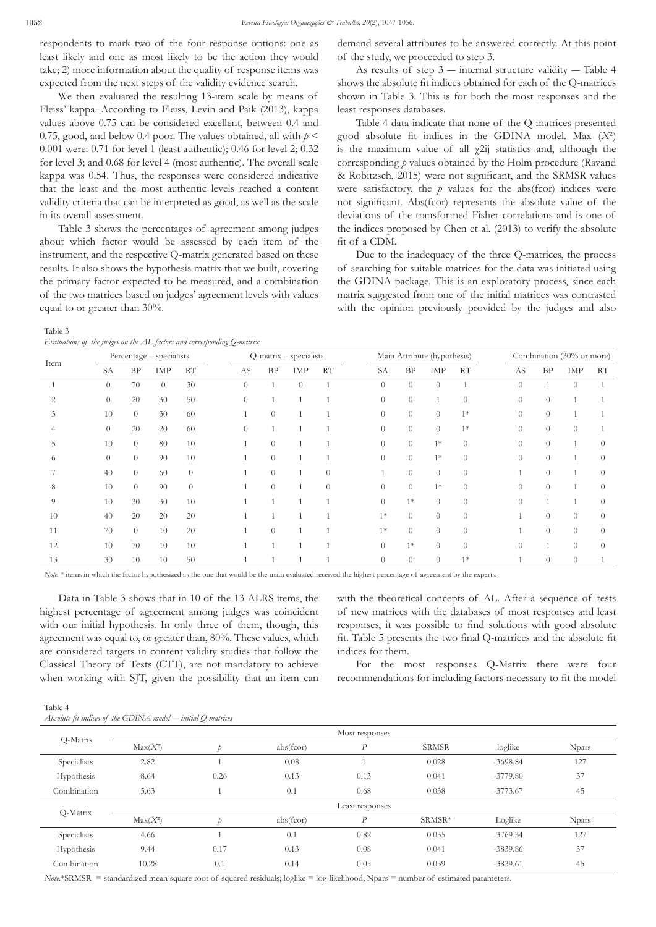respondents to mark two of the four response options: one as least likely and one as most likely to be the action they would take; 2) more information about the quality of response items was expected from the next steps of the validity evidence search.

We then evaluated the resulting 13-item scale by means of Fleiss' kappa. According to Fleiss, Levin and Paik (2013), kappa values above 0.75 can be considered excellent, between 0.4 and 0.75, good, and below 0.4 poor. The values obtained, all with  $p <$ 0.001 were: 0.71 for level 1 (least authentic); 0.46 for level 2; 0.32 for level 3; and 0.68 for level 4 (most authentic). The overall scale kappa was 0.54. Thus, the responses were considered indicative that the least and the most authentic levels reached a content validity criteria that can be interpreted as good, as well as the scale in its overall assessment.

Table 3 shows the percentages of agreement among judges about which factor would be assessed by each item of the instrument, and the respective Q-matrix generated based on these results. It also shows the hypothesis matrix that we built, covering the primary factor expected to be measured, and a combination of the two matrices based on judges' agreement levels with values equal to or greater than 30%.

demand several attributes to be answered correctly. At this point of the study, we proceeded to step 3.

As results of step  $3$  — internal structure validity — Table 4 shows the absolute fit indices obtained for each of the Q-matrices shown in Table 3. This is for both the most responses and the least responses databases.

Table 4 data indicate that none of the Q-matrices presented good absolute fit indices in the GDINA model. Max (*X*²) is the maximum value of all  $\chi$ 2ij statistics and, although the corresponding *p* values obtained by the Holm procedure (Ravand & Robitzsch, 2015) were not significant, and the SRMSR values were satisfactory, the  $p$  values for the abs(fcor) indices were not significant. Abs(fcor) represents the absolute value of the deviations of the transformed Fisher correlations and is one of the indices proposed by Chen et al. (2013) to verify the absolute fit of a CDM.

Due to the inadequacy of the three Q-matrices, the process of searching for suitable matrices for the data was initiated using the GDINA package. This is an exploratory process, since each matrix suggested from one of the initial matrices was contrasted with the opinion previously provided by the judges and also

| ٠ | ۰, |  |
|---|----|--|
|   |    |  |

*Evaluations of the judges on the AL factors and corresponding Q-matrix*

| Evaluations of the judges on the AL factors and corresponding Q-matrix |                          |                |          |           |                        |                |          |           |                             |           |          |          |                           |          |          |          |
|------------------------------------------------------------------------|--------------------------|----------------|----------|-----------|------------------------|----------------|----------|-----------|-----------------------------|-----------|----------|----------|---------------------------|----------|----------|----------|
| Item                                                                   | Percentage - specialists |                |          |           | Q-matrix - specialists |                |          |           | Main Attribute (hypothesis) |           |          |          | Combination (30% or more) |          |          |          |
|                                                                        | <b>SA</b>                | <b>BP</b>      | IMP      | <b>RT</b> | AS                     | BP             | IMP      | <b>RT</b> | SA                          | <b>BP</b> | IMP      | RT       | AS                        | BP       | IMP      | RT       |
|                                                                        | $\theta$                 | 70             | $\theta$ | 30        | $\theta$               |                | $\theta$ |           | $\overline{0}$              | $\theta$  | $\theta$ |          | $\theta$                  |          | $\theta$ |          |
|                                                                        | $\theta$                 | 20             | 30       | 50        | $\Omega$               |                |          |           | $\theta$                    | $\theta$  |          | $\theta$ | $\theta$                  | $\theta$ |          |          |
| 3                                                                      | 10                       | $\overline{0}$ | 30       | 60        |                        | $\theta$       |          |           | $\theta$                    | $\theta$  | $\theta$ | $1*$     | $\theta$                  | $\theta$ |          |          |
|                                                                        | $\theta$                 | 20             | 20       | 60        | $\Omega$               |                |          |           | $\Omega$                    | $\theta$  | $\Omega$ | $1*$     | $\theta$                  | $\theta$ | $\Omega$ |          |
|                                                                        | 10                       | $\overline{0}$ | 80       | 10        |                        | $\theta$       |          |           | $\theta$                    | $\theta$  | $1*$     | $\theta$ | $\theta$                  | $\theta$ |          | $\Omega$ |
| 6                                                                      | $\theta$                 | $\overline{0}$ | 90       | 10        |                        | $\Omega$       |          |           | $\Omega$                    | $\theta$  | $1*$     | $\Omega$ | $\Omega$                  | $\theta$ | 1        | $\Omega$ |
|                                                                        | 40                       | $\overline{0}$ | 60       | $\theta$  |                        | $\overline{0}$ |          | $\Omega$  |                             | $\theta$  | $\theta$ | $\theta$ |                           | $\theta$ |          | $\Omega$ |
| 8                                                                      | 10                       | $\overline{0}$ | 90       | $\Omega$  |                        | $\theta$       |          | $\theta$  | $\theta$                    | $\theta$  | $1*$     | $\theta$ | $\theta$                  | $\theta$ |          | $\Omega$ |
| 9                                                                      | 10                       | 30             | 30       | 10        |                        |                |          |           | $\Omega$                    | $1*$      | $\theta$ | $\theta$ | $\Omega$                  |          |          | $\Omega$ |
| 10                                                                     | 40                       | 20             | 20       | 20        |                        |                |          |           | $1*$                        | $\theta$  | $\theta$ | $\theta$ |                           | $\theta$ | $\theta$ | $\Omega$ |
| 11                                                                     | 70                       | $\overline{0}$ | 10       | 20        |                        | $\Omega$       |          |           | $1*$                        | $\theta$  | $\Omega$ | $\theta$ |                           | $\Omega$ | $\Omega$ | $\Omega$ |
| 12                                                                     | 10                       | 70             | 10       | 10        |                        |                |          |           | $\overline{0}$              | $1*$      | $\theta$ | $\Omega$ | $\Omega$                  |          | $\theta$ | $\Omega$ |
| 13                                                                     | 30                       | 10             | 10       | 50        |                        |                |          |           | $\theta$                    | $\theta$  | $\theta$ | $1*$     |                           | $\theta$ | $\theta$ |          |

*Note.* \* items in which the factor hypothesized as the one that would be the main evaluated received the highest percentage of agreement by the experts.

Data in Table 3 shows that in 10 of the 13 ALRS items, the highest percentage of agreement among judges was coincident with our initial hypothesis. In only three of them, though, this agreement was equal to, or greater than, 80%. These values, which are considered targets in content validity studies that follow the Classical Theory of Tests (CTT), are not mandatory to achieve when working with SJT, given the possibility that an item can with the theoretical concepts of AL. After a sequence of tests of new matrices with the databases of most responses and least responses, it was possible to find solutions with good absolute fit. Table 5 presents the two final Q-matrices and the absolute fit indices for them.

For the most responses Q-Matrix there were four recommendations for including factors necessary to fit the model

| Table 4                                                      |  |
|--------------------------------------------------------------|--|
| Absolute fit indices of the GDINA model — initial Q-matrices |  |

|             | Most responses |      |           |                  |              |            |              |  |  |  |  |
|-------------|----------------|------|-----------|------------------|--------------|------------|--------------|--|--|--|--|
| Q-Matrix    | $Max(X^2)$     |      | abs(fcor) | $\overline{P}$   | <b>SRMSR</b> | loglike    | <b>Npars</b> |  |  |  |  |
| Specialists | 2.82           |      | 0.08      |                  | 0.028        | $-3698.84$ | 127          |  |  |  |  |
| Hypothesis  | 8.64           | 0.26 | 0.13      | 0.13             | 0.041        | $-3779.80$ | 37           |  |  |  |  |
| Combination | 5.63           |      | 0.1       | 0.68             | 0.038        | $-3773.67$ | 45           |  |  |  |  |
|             |                |      |           | Least responses  |              |            |              |  |  |  |  |
| Q-Matrix    | $Max(X^2)$     |      | abs(fcor) | $\boldsymbol{P}$ | SRMSR*       | Loglike    | <b>Npars</b> |  |  |  |  |
| Specialists | 4.66           |      | 0.1       | 0.82             | 0.035        | $-3769.34$ | 127          |  |  |  |  |
| Hypothesis  | 9.44           | 0.17 | 0.13      | 0.08             | 0.041        | $-3839.86$ | 37           |  |  |  |  |
| Combination | 10.28          | 0.1  | 0.14      | 0.05             | 0.039        | $-3839.61$ | 45           |  |  |  |  |

*Note.*\*SRMSR = standardized mean square root of squared residuals; loglike = log-likelihood; Npars = number of estimated parameters.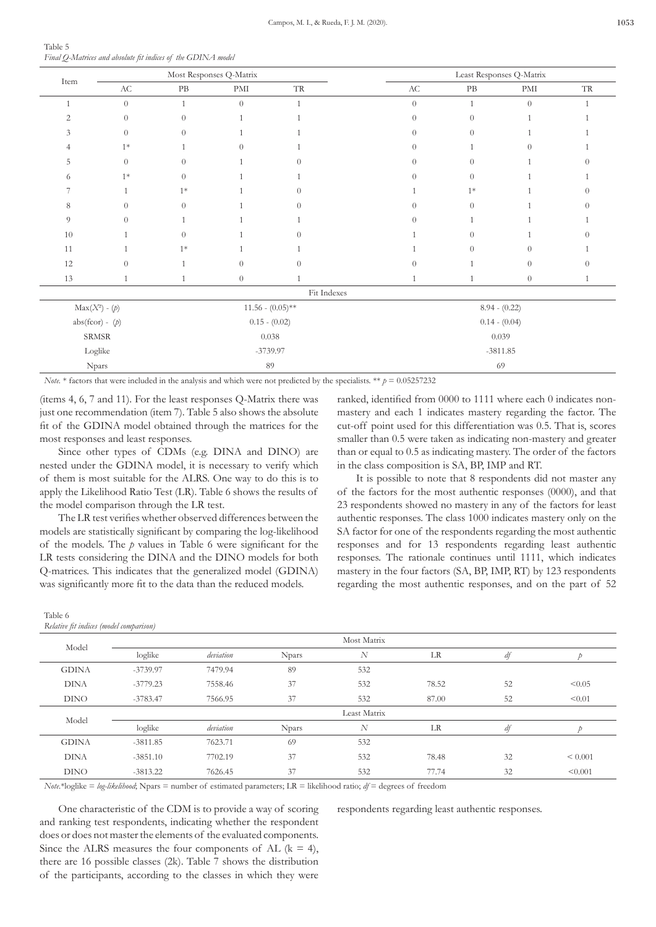| Table 5                                                      |  |  |
|--------------------------------------------------------------|--|--|
| Final Q-Matrices and absolute fit indices of the GDINA model |  |  |

|                  |                        |                | Most Responses Q-Matrix     |                     |                        | Least Responses Q-Matrix |                             |                     |  |  |  |
|------------------|------------------------|----------------|-----------------------------|---------------------|------------------------|--------------------------|-----------------------------|---------------------|--|--|--|
| Item             | $\mathbf{A}\mathbf{C}$ | $\rm{PB}$      | $\mathop{\rm PMI}\nolimits$ | $\operatorname{TR}$ | $\mathbf{A}\mathbf{C}$ | $\rm{PB}$                | $\mathop{\rm PMI}\nolimits$ | $\operatorname{TR}$ |  |  |  |
|                  | $\theta$               | $\mathbf{1}$   | $\theta$                    |                     | $\theta$               | $\mathbf{1}$             | $\theta$                    |                     |  |  |  |
| 2                | $\theta$               | $\theta$       |                             |                     | $\theta$               | $\theta$                 |                             |                     |  |  |  |
| 3                | $\theta$               | $\theta$       |                             |                     | $\Omega$               | $\theta$                 |                             |                     |  |  |  |
|                  | $1*$                   |                | $\Omega$                    |                     | $\Omega$               |                          | $\theta$                    |                     |  |  |  |
| 5                | $\theta$               | $\theta$       |                             | ∩                   | $\Omega$               | $\theta$                 |                             |                     |  |  |  |
| 6                | $1*$                   | $\Omega$       |                             |                     | $\Omega$               | $\Omega$                 |                             |                     |  |  |  |
|                  | $\mathbf{1}$           | $1*$           |                             | $\Omega$            |                        | $1*$                     |                             |                     |  |  |  |
| 8                | $\theta$               | $\theta$       |                             | $\Omega$            | $\Omega$               | $\theta$                 |                             |                     |  |  |  |
| 9                | $\theta$               |                |                             |                     | $\Omega$               |                          |                             |                     |  |  |  |
| $10\,$           | 1                      | $\Omega$       |                             | $\Omega$            |                        | $\overline{0}$           |                             |                     |  |  |  |
| 11               | $\mathbf{1}$           | $1*$           |                             |                     |                        | $\Omega$                 | $\theta$                    |                     |  |  |  |
| 12               | $\theta$               | $\overline{1}$ | $\theta$                    | $\theta$            | $\theta$               |                          | $\theta$                    |                     |  |  |  |
| 13               | $\mathbf{1}$           | $\overline{1}$ | $\boldsymbol{0}$            |                     | $\mathbf{1}$           | $\mathbf{1}$             | $\theta$                    |                     |  |  |  |
|                  |                        |                |                             | Fit Indexes         |                        |                          |                             |                     |  |  |  |
| $Max(X^2) - (p)$ |                        |                |                             | $11.56 - (0.05)$ ** |                        | $8.94 - (0.22)$          |                             |                     |  |  |  |
|                  | $abs(fcor) - (p)$      |                | $0.15 - (0.02)$             |                     |                        | $0.14 - (0.04)$          |                             |                     |  |  |  |
| ${\tt SRMSR}$    |                        |                |                             | 0.038               |                        | 0.039                    |                             |                     |  |  |  |
| Loglike          |                        |                |                             | $-3739.97$          |                        |                          | $-3811.85$                  |                     |  |  |  |
| Npars            |                        | 89             |                             |                     |                        | 69                       |                             |                     |  |  |  |

*Note.*  $*$  factors that were included in the analysis and which were not predicted by the specialists.  $**$   $p = 0.05257232$ 

(items 4, 6, 7 and 11). For the least responses Q-Matrix there was just one recommendation (item 7). Table 5 also shows the absolute fit of the GDINA model obtained through the matrices for most responses and least responses.

Since other types of CDMs (e.g. DINA and DINO) nested under the GDINA model, it is necessary to verify v of them is most suitable for the ALRS. One way to do this apply the Likelihood Ratio Test (LR). Table 6 shows the results the model comparison through the LR test.

The LR test verifies whether observed differences between models are statistically significant by comparing the log-likelihood of the models. The *p* values in Table 6 were significant for the LR tests considering the DINA and the DINO models for both Q-matrices. This indicates that the generalized model (GDINA) was significantly more fit to the data than the reduced models.

| Table 6 |                                         |
|---------|-----------------------------------------|
|         | Relative fit indices (model comparison) |

| r the               | cut-off point used for this differentiation was 0.5. That is, scores |
|---------------------|----------------------------------------------------------------------|
|                     | smaller than 0.5 were taken as indicating non-mastery and greater    |
| are                 | than or equal to 0.5 as indicating mastery. The order of the factors |
| vhich               | in the class composition is SA, BP, IMP and RT.                      |
| $\frac{1}{1}$ is to | It is possible to note that 8 respondents did not master any         |
| lts of              | of the factors for the most authentic responses $(0000)$ , and that  |
|                     | 23 respondents showed no mastery in any of the factors for least     |
| n the               | authentic responses. The class 1000 indicates mastery only on the    |
| $_{\text{head}}$    | SA factor for ano of the respondents regarding the most extention    |

SA factor for one of the respondents regarding the most authentic responses and for 13 respondents regarding least authentic responses. The rationale continues until 1111, which indicates mastery in the four factors (SA, BP, IMP, RT) by 123 respondents regarding the most authentic responses, and on the part of 52

ranked, identified from 0000 to 1111 where each 0 indicates nonmastery and each 1 indicates mastery regarding the factor. The

| Model        | Most Matrix |           |              |              |       |    |         |  |  |  |  |
|--------------|-------------|-----------|--------------|--------------|-------|----|---------|--|--|--|--|
|              | loglike     | deviation | <b>Npars</b> | N            | LR    | df |         |  |  |  |  |
| <b>GDINA</b> | $-3739.97$  | 7479.94   | 89           | 532          |       |    |         |  |  |  |  |
| <b>DINA</b>  | $-3779.23$  | 7558.46   | 37           | 532          | 78.52 | 52 | < 0.05  |  |  |  |  |
| <b>DINO</b>  | $-3783.47$  | 7566.95   | 37           | 532          | 87.00 | 52 | < 0.01  |  |  |  |  |
| Model        |             |           |              | Least Matrix |       |    |         |  |  |  |  |
|              | loglike     | deviation | <b>Npars</b> | N            | LR    | df |         |  |  |  |  |
| <b>GDINA</b> | $-3811.85$  | 7623.71   | 69           | 532          |       |    |         |  |  |  |  |
| <b>DINA</b>  | $-3851.10$  | 7702.19   | 37           | 532          | 78.48 | 32 | < 0.001 |  |  |  |  |
| <b>DINO</b>  | $-3813.22$  | 7626.45   | 37           | 532          | 77.74 | 32 | < 0.001 |  |  |  |  |

*Note*.\*loglike = *log-likelihood*; Npars = number of estimated parameters; LR = likelihood ratio; *df* = degrees of freedom

One characteristic of the CDM is to provide a way of scoring and ranking test respondents, indicating whether the respondent does or does not master the elements of the evaluated components. Since the ALRS measures the four components of AL  $(k = 4)$ , there are 16 possible classes (2k). Table 7 shows the distribution of the participants, according to the classes in which they were respondents regarding least authentic responses.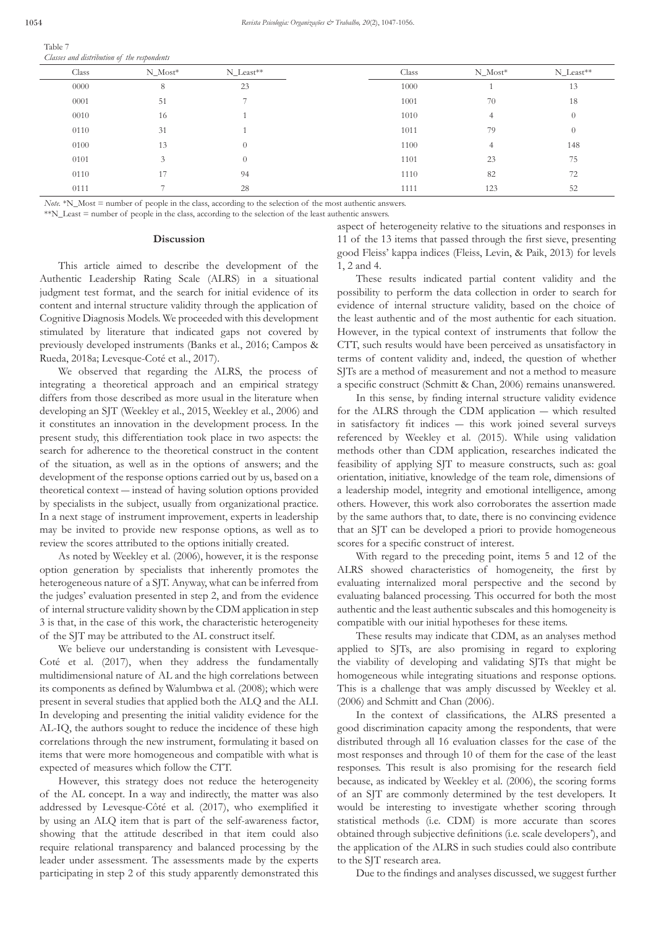| Table 7                                     |  |  |
|---------------------------------------------|--|--|
| Classes and distribution of the respondents |  |  |

| Class | $N_Most^*$ | N_Least** | Class | $N_Most^*$ | N_Least** |
|-------|------------|-----------|-------|------------|-----------|
| 0000  | 8          | 23        | 1000  |            | 13        |
| 0001  | 51         |           | 1001  | 70         | 18        |
| 0010  | 16         |           | 1010  | 4          | $\theta$  |
| 0110  | 31         |           | 1011  | 79         | $\Omega$  |
| 0100  | 13         | $\Omega$  | 1100  | 4          | 148       |
| 0101  |            | $\Omega$  | 1101  | 23         | 75        |
| 0110  | 17         | 94        | 1110  | 82         | 72        |
| 0111  |            | 28        | 1111  | 123        | 52        |

*Note.* \*N\_Most = number of people in the class, according to the selection of the most authentic answers.

\*\*N\_Least = number of people in the class, according to the selection of the least authentic answers.

# **Discussion**

This article aimed to describe the development of the Authentic Leadership Rating Scale (ALRS) in a situational judgment test format, and the search for initial evidence of its content and internal structure validity through the application of Cognitive Diagnosis Models. We proceeded with this development stimulated by literature that indicated gaps not covered by previously developed instruments (Banks et al., 2016; Campos & Rueda, 2018a; Levesque-Coté et al., 2017).

We observed that regarding the ALRS, the process of integrating a theoretical approach and an empirical strategy differs from those described as more usual in the literature when developing an SJT (Weekley et al., 2015, Weekley et al., 2006) and it constitutes an innovation in the development process. In the present study, this differentiation took place in two aspects: the search for adherence to the theoretical construct in the content of the situation, as well as in the options of answers; and the development of the response options carried out by us, based on a theoretical context ― instead of having solution options provided by specialists in the subject, usually from organizational practice. In a next stage of instrument improvement, experts in leadership may be invited to provide new response options, as well as to review the scores attributed to the options initially created.

As noted by Weekley et al. (2006), however, it is the response option generation by specialists that inherently promotes the heterogeneous nature of a SJT. Anyway, what can be inferred from the judges' evaluation presented in step 2, and from the evidence of internal structure validity shown by the CDM application in step 3 is that, in the case of this work, the characteristic heterogeneity of the SJT may be attributed to the AL construct itself.

We believe our understanding is consistent with Levesque-Coté et al. (2017), when they address the fundamentally multidimensional nature of AL and the high correlations between its components as defined by Walumbwa et al. (2008); which were present in several studies that applied both the ALQ and the ALI. In developing and presenting the initial validity evidence for the AL-IQ, the authors sought to reduce the incidence of these high correlations through the new instrument, formulating it based on items that were more homogeneous and compatible with what is expected of measures which follow the CTT.

However, this strategy does not reduce the heterogeneity of the AL concept. In a way and indirectly, the matter was also addressed by Levesque-Côté et al. (2017), who exemplified it by using an ALQ item that is part of the self-awareness factor, showing that the attitude described in that item could also require relational transparency and balanced processing by the leader under assessment. The assessments made by the experts participating in step 2 of this study apparently demonstrated this

aspect of heterogeneity relative to the situations and responses in 11 of the 13 items that passed through the first sieve, presenting good Fleiss' kappa indices (Fleiss, Levin, & Paik, 2013) for levels 1, 2 and 4.

These results indicated partial content validity and the possibility to perform the data collection in order to search for evidence of internal structure validity, based on the choice of the least authentic and of the most authentic for each situation. However, in the typical context of instruments that follow the CTT, such results would have been perceived as unsatisfactory in terms of content validity and, indeed, the question of whether SJTs are a method of measurement and not a method to measure a specific construct (Schmitt & Chan, 2006) remains unanswered.

In this sense, by finding internal structure validity evidence for the ALRS through the CDM application ― which resulted in satisfactory fit indices ― this work joined several surveys referenced by Weekley et al. (2015). While using validation methods other than CDM application, researches indicated the feasibility of applying SJT to measure constructs, such as: goal orientation, initiative, knowledge of the team role, dimensions of a leadership model, integrity and emotional intelligence, among others. However, this work also corroborates the assertion made by the same authors that, to date, there is no convincing evidence that an SJT can be developed a priori to provide homogeneous scores for a specific construct of interest.

With regard to the preceding point, items 5 and 12 of the ALRS showed characteristics of homogeneity, the first by evaluating internalized moral perspective and the second by evaluating balanced processing. This occurred for both the most authentic and the least authentic subscales and this homogeneity is compatible with our initial hypotheses for these items.

These results may indicate that CDM, as an analyses method applied to SJTs, are also promising in regard to exploring the viability of developing and validating SJTs that might be homogeneous while integrating situations and response options. This is a challenge that was amply discussed by Weekley et al. (2006) and Schmitt and Chan (2006).

In the context of classifications, the ALRS presented a good discrimination capacity among the respondents, that were distributed through all 16 evaluation classes for the case of the most responses and through 10 of them for the case of the least responses. This result is also promising for the research field because, as indicated by Weekley et al. (2006), the scoring forms of an SJT are commonly determined by the test developers. It would be interesting to investigate whether scoring through statistical methods (i.e. CDM) is more accurate than scores obtained through subjective definitions (i.e. scale developers'), and the application of the ALRS in such studies could also contribute to the SJT research area.

Due to the findings and analyses discussed, we suggest further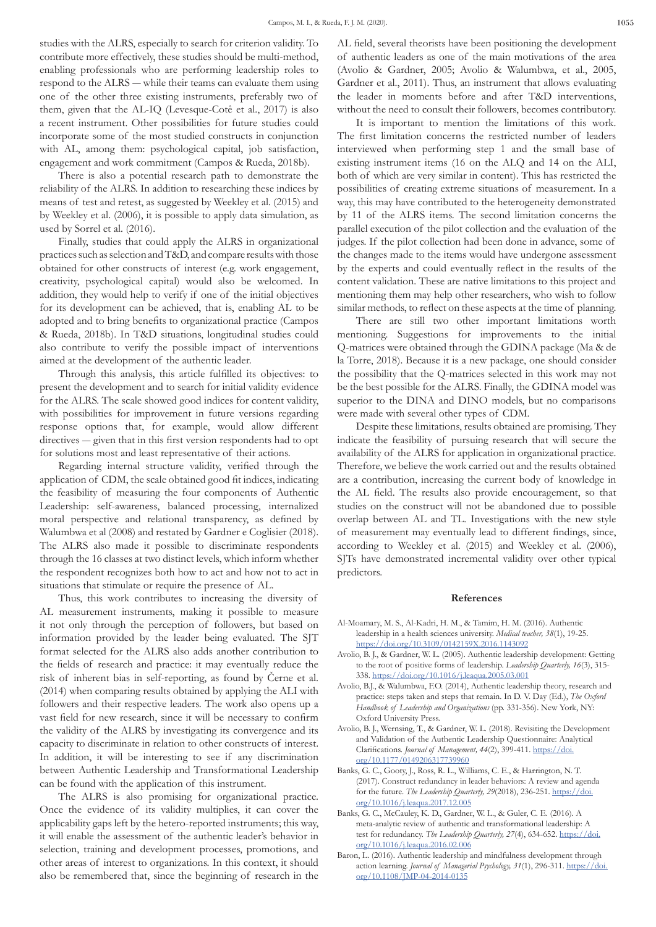studies with the ALRS, especially to search for criterion validity. To contribute more effectively, these studies should be multi-method, enabling professionals who are performing leadership roles to respond to the ALRS ― while their teams can evaluate them using one of the other three existing instruments, preferably two of them, given that the AL-IQ (Levesque-Cotê et al., 2017) is also a recent instrument. Other possibilities for future studies could incorporate some of the most studied constructs in conjunction with AL, among them: psychological capital, job satisfaction, engagement and work commitment (Campos & Rueda, 2018b).

There is also a potential research path to demonstrate the reliability of the ALRS. In addition to researching these indices by means of test and retest, as suggested by Weekley et al. (2015) and by Weekley et al. (2006), it is possible to apply data simulation, as used by Sorrel et al. (2016).

Finally, studies that could apply the ALRS in organizational practices such as selection and T&D, and compare results with those obtained for other constructs of interest (e.g. work engagement, creativity, psychological capital) would also be welcomed. In addition, they would help to verify if one of the initial objectives for its development can be achieved, that is, enabling AL to be adopted and to bring benefits to organizational practice (Campos & Rueda, 2018b). In T&D situations, longitudinal studies could also contribute to verify the possible impact of interventions aimed at the development of the authentic leader.

Through this analysis, this article fulfilled its objectives: to present the development and to search for initial validity evidence for the ALRS. The scale showed good indices for content validity, with possibilities for improvement in future versions regarding response options that, for example, would allow different directives ― given that in this first version respondents had to opt for solutions most and least representative of their actions.

Regarding internal structure validity, verified through the application of CDM, the scale obtained good fit indices, indicating the feasibility of measuring the four components of Authentic Leadership: self-awareness, balanced processing, internalized moral perspective and relational transparency, as defined by Walumbwa et al (2008) and restated by Gardner e Coglisier (2018). The ALRS also made it possible to discriminate respondents through the 16 classes at two distinct levels, which inform whether the respondent recognizes both how to act and how not to act in situations that stimulate or require the presence of AL.

Thus, this work contributes to increasing the diversity of AL measurement instruments, making it possible to measure it not only through the perception of followers, but based on information provided by the leader being evaluated. The SJT format selected for the ALRS also adds another contribution to the fields of research and practice: it may eventually reduce the risk of inherent bias in self-reporting, as found by Černe et al. (2014) when comparing results obtained by applying the ALI with followers and their respective leaders. The work also opens up a vast field for new research, since it will be necessary to confirm the validity of the ALRS by investigating its convergence and its capacity to discriminate in relation to other constructs of interest. In addition, it will be interesting to see if any discrimination between Authentic Leadership and Transformational Leadership can be found with the application of this instrument.

The ALRS is also promising for organizational practice. Once the evidence of its validity multiplies, it can cover the applicability gaps left by the hetero-reported instruments; this way, it will enable the assessment of the authentic leader's behavior in selection, training and development processes, promotions, and other areas of interest to organizations. In this context, it should also be remembered that, since the beginning of research in the AL field, several theorists have been positioning the development of authentic leaders as one of the main motivations of the area (Avolio & Gardner, 2005; Avolio & Walumbwa, et al., 2005, Gardner et al., 2011). Thus, an instrument that allows evaluating the leader in moments before and after T&D interventions, without the need to consult their followers, becomes contributory.

It is important to mention the limitations of this work. The first limitation concerns the restricted number of leaders interviewed when performing step 1 and the small base of existing instrument items (16 on the ALQ and 14 on the ALI, both of which are very similar in content). This has restricted the possibilities of creating extreme situations of measurement. In a way, this may have contributed to the heterogeneity demonstrated by 11 of the ALRS items. The second limitation concerns the parallel execution of the pilot collection and the evaluation of the judges. If the pilot collection had been done in advance, some of the changes made to the items would have undergone assessment by the experts and could eventually reflect in the results of the content validation. These are native limitations to this project and mentioning them may help other researchers, who wish to follow similar methods, to reflect on these aspects at the time of planning.

There are still two other important limitations worth mentioning. Suggestions for improvements to the initial Q-matrices were obtained through the GDINA package (Ma & de la Torre, 2018). Because it is a new package, one should consider the possibility that the Q-matrices selected in this work may not be the best possible for the ALRS. Finally, the GDINA model was superior to the DINA and DINO models, but no comparisons were made with several other types of CDM.

Despite these limitations, results obtained are promising. They indicate the feasibility of pursuing research that will secure the availability of the ALRS for application in organizational practice. Therefore, we believe the work carried out and the results obtained are a contribution, increasing the current body of knowledge in the AL field. The results also provide encouragement, so that studies on the construct will not be abandoned due to possible overlap between AL and TL. Investigations with the new style of measurement may eventually lead to different findings, since, according to Weekley et al. (2015) and Weekley et al. (2006), SJTs have demonstrated incremental validity over other typical predictors.

#### **References**

- Al-Moamary, M. S., Al-Kadri, H. M., & Tamim, H. M. (2016). Authentic leadership in a health sciences university. *Medical teacher, 38*(1), 19-25. https://doi.org/10.3109/0142159X.2016.1143092
- Avolio, B. J., & Gardner, W. L. (2005). Authentic leadership development: Getting to the root of positive forms of leadership. *Leadership Quarterly, 16*(3), 315- 338. https://doi.org/10.1016/j.leaqua.2005.03.001
- Avolio, B.J., & Walumbwa, F.O. (2014), Authentic leadership theory, research and practice: steps taken and steps that remain. In D. V. Day (Ed.), *The Oxford Handbook of Leadership and Organizations* (pp. 331-356). New York, NY: Oxford University Press.
- Avolio, B. J., Wernsing, T., & Gardner, W. L. (2018). Revisiting the Development and Validation of the Authentic Leadership Questionnaire: Analytical Clarifications. *Journal of Management, 44*(2), 399-411. https://doi. org/10.1177/0149206317739960
- Banks, G. C., Gooty, J., Ross, R. L., Williams, C. E., & Harrington, N. T. (2017). Construct redundancy in leader behaviors: A review and agenda for the future. *The Leadership Quarterly, 29*(2018), 236-251. https://doi. org/10.1016/j.leaqua.2017.12.005
- Banks, G. C., McCauley, K. D., Gardner, W. L., & Guler, C. E. (2016). A meta-analytic review of authentic and transformational leadership: A test for redundancy. *The Leadership Quarterly*, 27(4), 634-652. https://doi. org/10.1016/j.leaqua.2016.02.006
- Baron, L. (2016). Authentic leadership and mindfulness development through action learning. *Journal of Managerial Psychology, 31*(1), 296-311. https://doi. org/10.1108/JMP-04-2014-0135